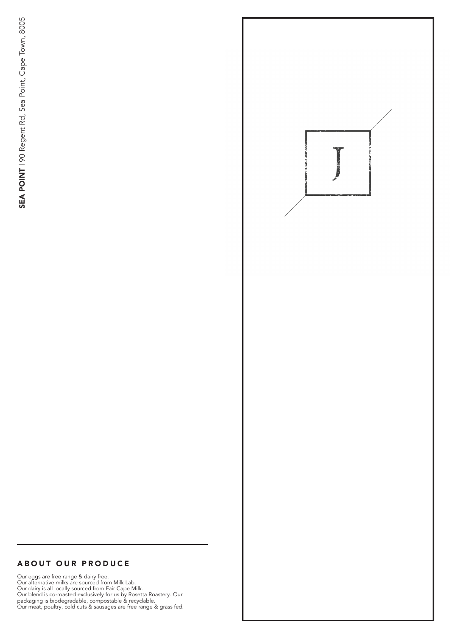#### A BOUT OUR PRODUCE

Our eggs are free range & dairy free. Our alternative milks are sourced from Milk Lab. Our dairy is all locally sourced from Fair Cape Milk. Our blend is co-roasted exclusively for us by Rosetta Roastery. Our packaging is biodegradable, compostable & recyclable. A BOUT OUR PRODUCE<br>
Our mean was also the PRODUCE<br>
Our mean was also the product from the Kells (search to Mellic Lib),<br>
Our dainy is all locally your perform Fair Cape Milk.<br>
Our dainy is an expect from Fair Cape Milk.<br>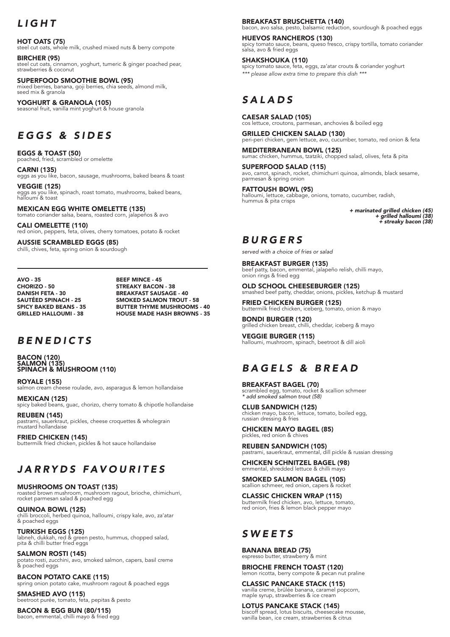## *LIGHT*

HOT OATS (75) steel cut oats, whole milk, crushed mixed nuts & berry compote

BIRCHER (95) steel cut oats, cinnamon, yoghurt, tumeric & ginger poached pear, strawberries & coconut

SUPERFOOD SMOOTHIE BOWL (95) mixed berries, banana, goji berries, chia seeds, almond milk, seed mix & granola

YOGHURT & GRANOLA (105) seasonal fruit, vanilla mint yoghurt & house granola

### *EGGS & SIDES*

EGGS & TOAST (50) poached, fried, scrambled or omelette

CARNI (135) eggs as you like, bacon, sausage, mushrooms, baked beans & toast

VEGGIE (125) eggs as you like, spinach, roast tomato, mushrooms, baked beans, halloumi & toast

MEXICAN EGG WHITE OMELETTE (135) tomato coriander salsa, beans, roasted corn, jalapeños & avo

CALI OMELETTE (110) red onion, peppers, feta, olives, cherry tomatoes, potato & rocket

AUSSIE SCRAMBLED EGGS (85) chilli, chives, feta, spring onion & sourdough

AVO - 35 CHORIZO - 50 DANISH FETA - 30 SAUTÉED SPINACH - 25 SPICY BAKED BEANS - 35 GRILLED HALLOUMI - 38

BEEF MINCE - 45 STREAKY BACON - 38 BREAKFAST SAUSAGE - 40 SMOKED SALMON TROUT - 58 BUTTER THYME MUSHROOMS - 40 HOUSE MADE HASH BROWNS - 35

#### *BENEDICTS*

BACON (120) SALMON (135) SPINACH & MUSHROOM (110)

ROYALE (155) salmon cream cheese roulade, avo, asparagus & lemon hollandaise

MEXICAN (125) spicy baked beans, guac, chorizo, cherry tomato & chipotle hollandaise

REUBEN (145) pastrami, sauerkraut, pickles, cheese croquettes & wholegrain mustard hollandaise

FRIED CHICKEN (145) buttermilk fried chicken, pickles & hot sauce hollandaise

# *JARRYDS FAVOURITES*

MUSHROOMS ON TOAST (135) roasted brown mushroom, mushroom ragout, brioche, chimichurri, rocket parmesan salad & poached egg

QUINOA BOWL (125) chilli broccoli, herbed quinoa, halloumi, crispy kale, avo, za'atar & poached eggs

**TURKISH EGGS (125)**<br>labneh, dukkah, red & green pesto, hummus, chopped salad,<br>pita & chilli butter fried eggs

SALMON ROSTI (145) potato rosti, zucchini, avo, smoked salmon, capers, basil creme & poached eggs

BACON POTATO CAKE (115) spring onion potato cake, mushroom ragout & poached eggs

SMASHED AVO (115) beetroot purée, tomato, feta, pepitas & pesto

BACON & EGG BUN (80/115) bacon, emmental, chilli mayo & fried egg

#### BREAKFAST BRUSCHETTA (140)

bacon, avo salsa, pesto, balsamic reduction, sourdough & poached eggs HUEVOS RANCHEROS (130)

spicy tomato sauce, beans, queso fresco, crispy tortilla, tomato coriander salsa, avo & fried eggs

SHAKSHOUKA (110) spicy tomato sauce, feta, eggs, za'atar crouts & coriander yoghurt *\*\*\* please allow extra time to prepare this dish \*\*\**

# *SALADS*

CAESAR SALAD (105) cos lettuce, croutons, parmesan, anchovies & boiled egg

GRILLED CHICKEN SALAD (130) peri-peri chicken, gem lettuce, avo, cucumber, tomato, red onion & feta

MEDITERRANEAN BOWL (125) sumac chicken, hummus, tzatziki, chopped salad, olives, feta & pita

SUPERFOOD SALAD (115) avo, carrot, spinach, rocket, chimichurri quinoa, almonds, black sesame, parmesan & spring onion

FATTOUSH BOWL (95) halloumi, lettuce, cabbage, onions, tomato, cucumber, radish, hummus & pita crisps

> *+ marinated grilled chicken (45) + grilled halloumi (38) + streaky bacon (38)*

#### *BURGERS*

*served with a choice of fries or salad*

BREAKFAST BURGER (135) beef patty, bacon, emmental, jalapeño relish, chilli mayo, onion rings & fried egg

OLD SCHOOL CHEESEBURGER (125) smashed beef patty, cheddar, onions, pickles, ketchup & mustard

FRIED CHICKEN BURGER (125) buttermilk fried chicken, iceberg, tomato, onion & mayo

BONDI BURGER (120) grilled chicken breast, chilli, cheddar, iceberg & mayo

VEGGIE BURGER (115) halloumi, mushroom, spinach, beetroot & dill aioli

## *BAGELS & BREAD*

BREAKFAST BAGEL (70) scrambled egg, tomato, rocket & scallion schmeer *\* add smoked salmon trout (58)*

CLUB SANDWICH (125) chicken mayo, bacon, lettuce, tomato, boiled egg, russian dressing & fries

CHICKEN MAYO BAGEL (85) pickles, red onion & chives

REUBEN SANDWICH (105) pastrami, sauerkraut, emmental, dill pickle & russian dressing

CHICKEN SCHNITZEL BAGEL (98) emmental, shredded lettuce & chilli mayo

SMOKED SALMON BAGEL (105) scallion schmeer, red onion, capers & rocket

CLASSIC CHICKEN WRAP (115) buttermilk fried chicken, avo, lettuce, tomato, red onion, fries & lemon black pepper mayo

## *SWEETS*

BANANA BREAD (75) espresso butter, strawberry & mint

BRIOCHE FRENCH TOAST (120) lemon ricotta, berry compote & pecan nut praline

CLASSIC PANCAKE STACK (115) vanilla creme, brûlée banana, caramel popcorn, maple syrup, strawberries & ice cream

LOTUS PANCAKE STACK (145) biscoff spread, lotus biscuits, cheesecake mousse, vanilla bean, ice cream, strawberries & citrus